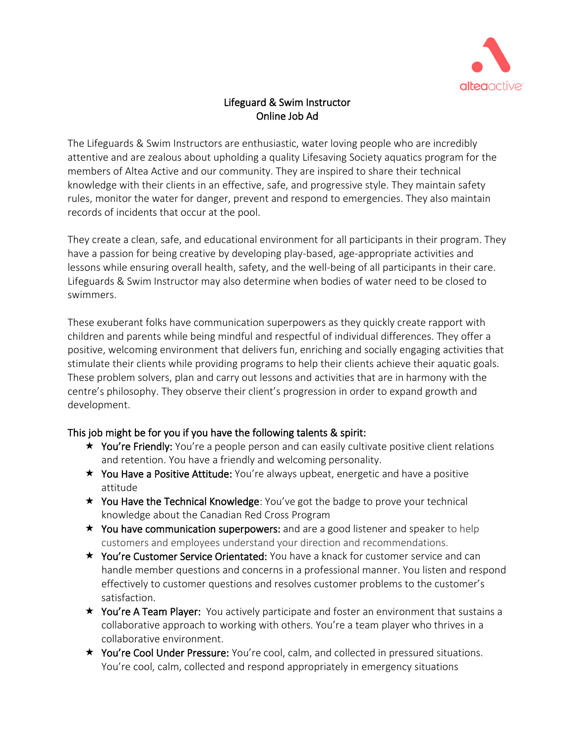

# Lifeguard & Swim Instructor Online Job Ad

The Lifeguards & Swim Instructors are enthusiastic, water loving people who are incredibly attentive and are zealous about upholding a quality Lifesaving Society aquatics program for the members of Altea Active and our community. They are inspired to share their technical knowledge with their clients in an effective, safe, and progressive style. They maintain safety rules, monitor the water for danger, prevent and respond to emergencies. They also maintain records of incidents that occur at the pool.

They create a clean, safe, and educational environment for all participants in their program. They have a passion for being creative by developing play-based, age-appropriate activities and lessons while ensuring overall health, safety, and the well-being of all participants in their care. Lifeguards & Swim Instructor may also determine when bodies of water need to be closed to swimmers.

These exuberant folks have communication superpowers as they quickly create rapport with children and parents while being mindful and respectful of individual differences. They offer a positive, welcoming environment that delivers fun, enriching and socially engaging activities that stimulate their clients while providing programs to help their clients achieve their aquatic goals. These problem solvers, plan and carry out lessons and activities that are in harmony with the centre's philosophy. They observe their client's progression in order to expand growth and development.

# This job might be for you if you have the following talents & spirit:

- $\star$  You're Friendly: You're a people person and can easily cultivate positive client relations and retention. You have a friendly and welcoming personality.
- $\star$  You Have a Positive Attitude: You're always upbeat, energetic and have a positive attitude
- $\star$  You Have the Technical Knowledge: You've got the badge to prove your technical knowledge about the Canadian Red Cross Program
- $\star$  You have communication superpowers: and are a good listener and speaker to help customers and employees understand your direction and recommendations.
- **★ You're Customer Service Orientated:** You have a knack for customer service and can handle member questions and concerns in a professional manner. You listen and respond effectively to customer questions and resolves customer problems to the customer's satisfaction.
- $\star$  You're A Team Player: You actively participate and foster an environment that sustains a collaborative approach to working with others. You're a team player who thrives in a collaborative environment.
- **★ You're Cool Under Pressure:** You're cool, calm, and collected in pressured situations. You're cool, calm, collected and respond appropriately in emergency situations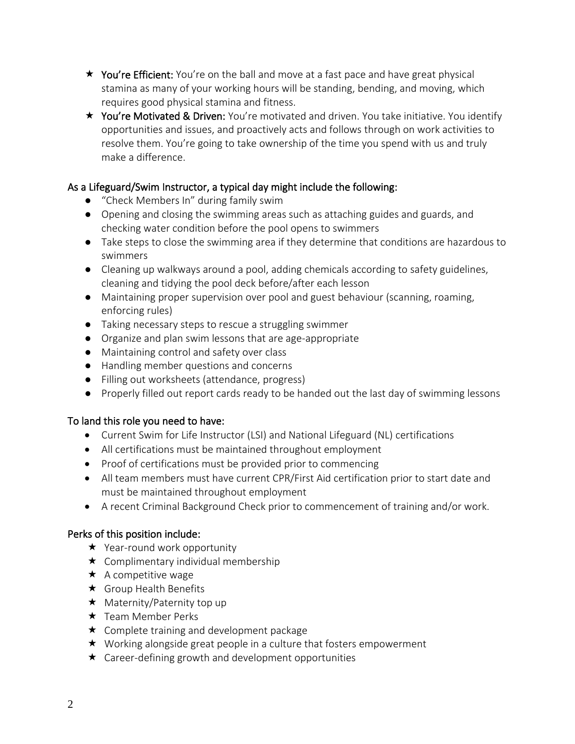- $\star$  You're Efficient: You're on the ball and move at a fast pace and have great physical stamina as many of your working hours will be standing, bending, and moving, which requires good physical stamina and fitness.
- $\star$  You're Motivated & Driven: You're motivated and driven. You take initiative. You identify opportunities and issues, and proactively acts and follows through on work activities to resolve them. You're going to take ownership of the time you spend with us and truly make a difference.

# As a Lifeguard/Swim Instructor, a typical day might include the following:

- "Check Members In" during family swim
- Opening and closing the swimming areas such as attaching guides and guards, and checking water condition before the pool opens to swimmers
- Take steps to close the swimming area if they determine that conditions are hazardous to swimmers
- Cleaning up walkways around a pool, adding chemicals according to safety guidelines, cleaning and tidying the pool deck before/after each lesson
- Maintaining proper supervision over pool and guest behaviour (scanning, roaming, enforcing rules)
- Taking necessary steps to rescue a struggling swimmer
- Organize and plan swim lessons that are age-appropriate
- Maintaining control and safety over class
- Handling member questions and concerns
- Filling out worksheets (attendance, progress)
- Properly filled out report cards ready to be handed out the last day of swimming lessons

# To land this role you need to have:

- Current Swim for Life Instructor (LSI) and National Lifeguard (NL) certifications
- All certifications must be maintained throughout employment
- Proof of certifications must be provided prior to commencing
- All team members must have current CPR/First Aid certification prior to start date and must be maintained throughout employment
- A recent Criminal Background Check prior to commencement of training and/or work.

# Perks of this position include:

- **★** Year-round work opportunity
- $\star$  Complimentary individual membership
- $\star$  A competitive wage
- **★** Group Health Benefits
- $\star$  Maternity/Paternity top up
- $\star$  Team Member Perks
- **★** Complete training and development package
- ★ Working alongside great people in a culture that fosters empowerment
- $\star$  Career-defining growth and development opportunities